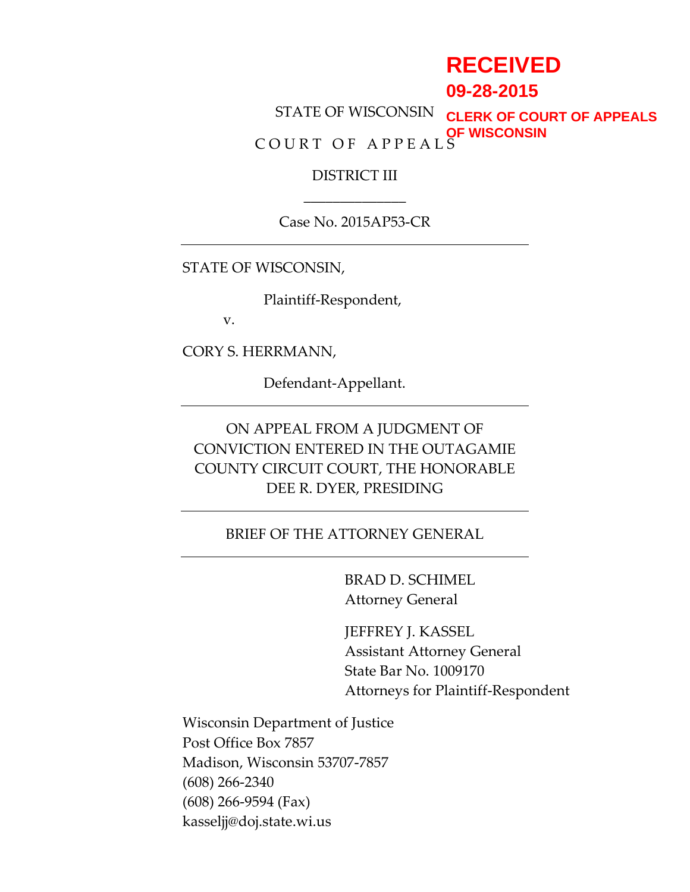# **RECEIVED**

**09-28-2015**

STATE OF WISCONSIN C O U R T O F A P P E A L S **CLERK OF COURT OF APPEALS OF WISCONSIN**

> DISTRICT III \_\_\_\_\_\_\_\_\_\_\_\_\_\_

Case No. 2015AP53-CR

STATE OF WISCONSIN,

Plaintiff-Respondent,

v.

CORY S. HERRMANN,

Defendant-Appellant.

ON APPEAL FROM A JUDGMENT OF CONVICTION ENTERED IN THE OUTAGAMIE COUNTY CIRCUIT COURT, THE HONORABLE DEE R. DYER, PRESIDING

### BRIEF OF THE ATTORNEY GENERAL

BRAD D. SCHIMEL Attorney General

JEFFREY J. KASSEL Assistant Attorney General State Bar No. 1009170 Attorneys for Plaintiff-Respondent

Wisconsin Department of Justice Post Office Box 7857 Madison, Wisconsin 53707-7857 (608) 266-2340 (608) 266-9594 (Fax) kasseljj@doj.state.wi.us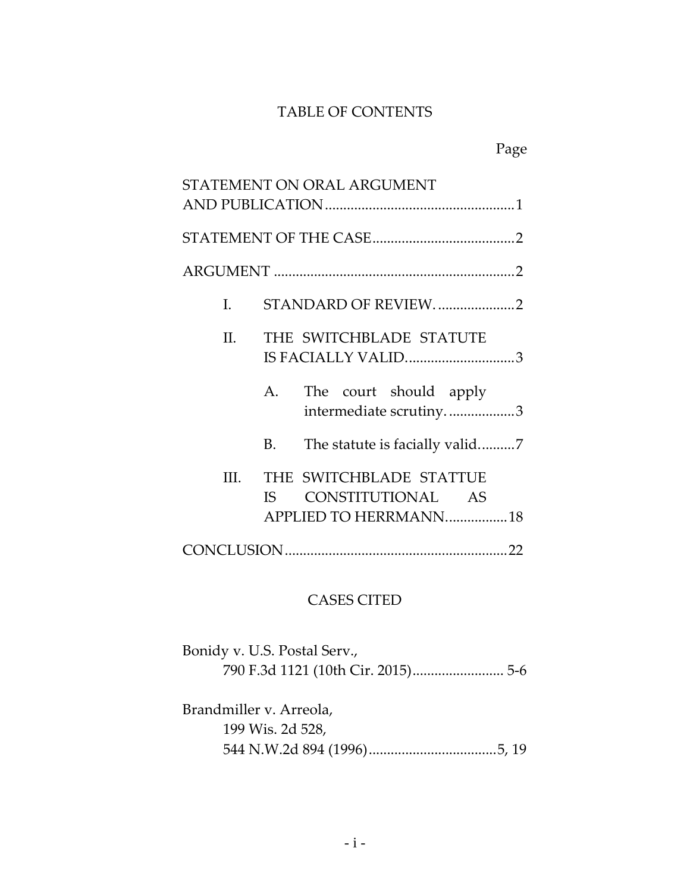### TABLE OF CONTENTS

|                  |                   | STATEMENT ON ORAL ARGUMENT                                            |
|------------------|-------------------|-----------------------------------------------------------------------|
|                  |                   |                                                                       |
|                  |                   |                                                                       |
|                  |                   |                                                                       |
| I.               |                   | STANDARD OF REVIEW2                                                   |
| II. <sub>1</sub> |                   | THE SWITCHBLADE STATUTE<br>IS FACIALLY VALID3                         |
|                  |                   | A. The court should apply<br>intermediate scrutiny3                   |
|                  | <b>B.</b>         |                                                                       |
| III.             | IS FOR THE THE ST | THE SWITCHBLADE STATTUE<br>CONSTITUTIONAL AS<br>APPLIED TO HERRMANN18 |
|                  |                   |                                                                       |

# CASES CITED

| Bonidy v. U.S. Postal Serv., |  |
|------------------------------|--|
|                              |  |
|                              |  |

Brandmiller v. Arreola, 199 Wis. 2d 528, 544 N.W.2d 894 (1996)...................................5, 19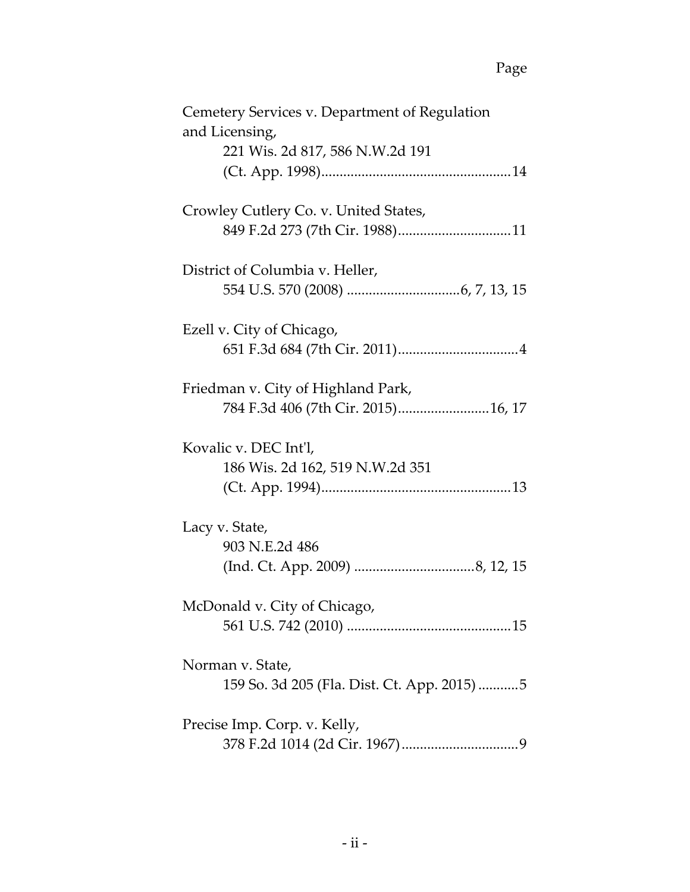| Cemetery Services v. Department of Regulation |
|-----------------------------------------------|
| and Licensing,                                |
| 221 Wis. 2d 817, 586 N.W.2d 191               |
|                                               |
|                                               |
| Crowley Cutlery Co. v. United States,         |
|                                               |
|                                               |
| District of Columbia v. Heller,               |
|                                               |
|                                               |
| Ezell v. City of Chicago,                     |
|                                               |
|                                               |
| Friedman v. City of Highland Park,            |
| 784 F.3d 406 (7th Cir. 2015)16, 17            |
|                                               |
| Kovalic v. DEC Int'l,                         |
|                                               |
| 186 Wis. 2d 162, 519 N.W.2d 351               |
|                                               |
|                                               |
| Lacy v. State,                                |
| 903 N.E.2d 486                                |
|                                               |
|                                               |
| McDonald v. City of Chicago,                  |
|                                               |
|                                               |
| Norman v. State,                              |
| 159 So. 3d 205 (Fla. Dist. Ct. App. 2015)5    |
|                                               |
|                                               |
| Precise Imp. Corp. v. Kelly,                  |
|                                               |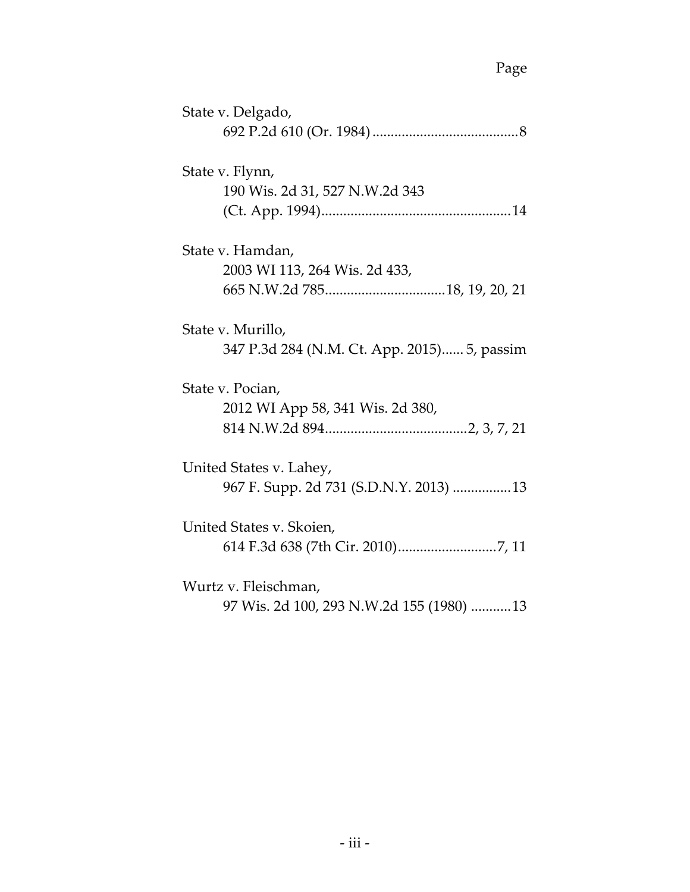| State v. Delgado,                           |
|---------------------------------------------|
|                                             |
| State v. Flynn,                             |
| 190 Wis. 2d 31, 527 N.W.2d 343              |
|                                             |
| State v. Hamdan,                            |
| 2003 WI 113, 264 Wis. 2d 433,               |
|                                             |
| State v. Murillo,                           |
| 347 P.3d 284 (N.M. Ct. App. 2015) 5, passim |
| State v. Pocian,                            |
| 2012 WI App 58, 341 Wis. 2d 380,            |
|                                             |
| United States v. Lahey,                     |
| 967 F. Supp. 2d 731 (S.D.N.Y. 2013) 13      |
| United States v. Skoien,                    |
|                                             |
| Wurtz v. Fleischman,                        |
| 97 Wis. 2d 100, 293 N.W.2d 155 (1980) 13    |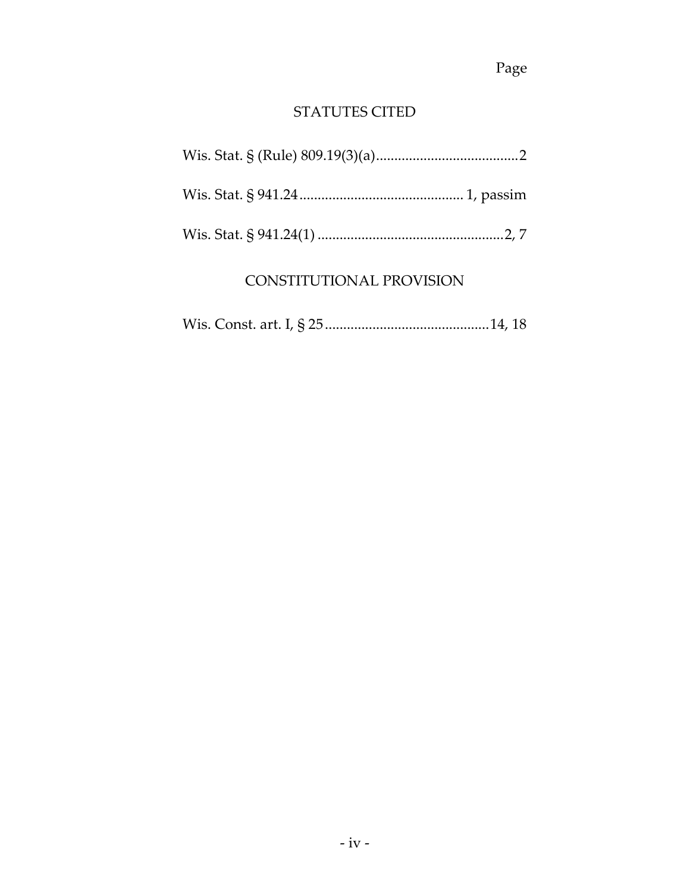# STATUTES CITED

# CONSTITUTIONAL PROVISION

|--|--|--|--|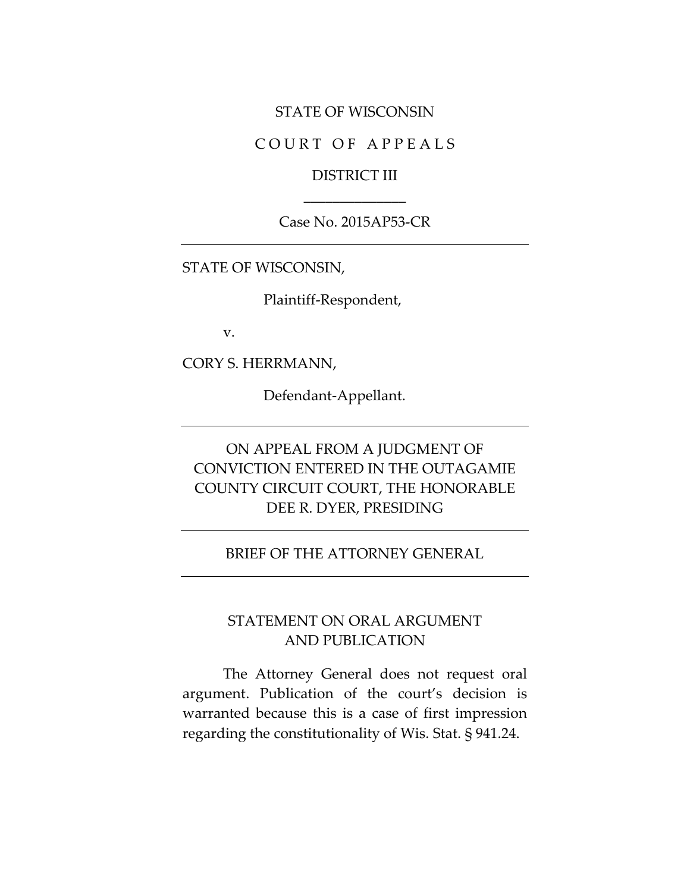#### STATE OF WISCONSIN

### COURT OF APPEALS

### DISTRICT III \_\_\_\_\_\_\_\_\_\_\_\_\_\_

#### Case No. 2015AP53-CR

STATE OF WISCONSIN,

Plaintiff-Respondent,

v.

CORY S. HERRMANN,

Defendant-Appellant.

# ON APPEAL FROM A JUDGMENT OF CONVICTION ENTERED IN THE OUTAGAMIE COUNTY CIRCUIT COURT, THE HONORABLE DEE R. DYER, PRESIDING

#### BRIEF OF THE ATTORNEY GENERAL

### STATEMENT ON ORAL ARGUMENT AND PUBLICATION

The Attorney General does not request oral argument. Publication of the court's decision is warranted because this is a case of first impression regarding the constitutionality of Wis. Stat. § 941.24.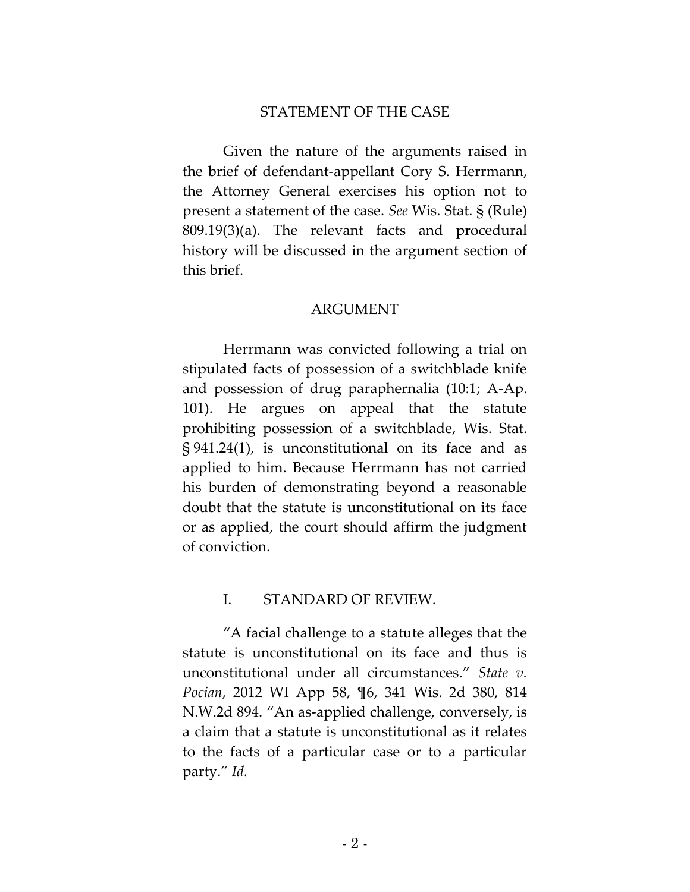#### STATEMENT OF THE CASE

Given the nature of the arguments raised in the brief of defendant-appellant Cory S. Herrmann, the Attorney General exercises his option not to present a statement of the case. *See* Wis. Stat. § (Rule) 809.19(3)(a). The relevant facts and procedural history will be discussed in the argument section of this brief.

#### ARGUMENT

Herrmann was convicted following a trial on stipulated facts of possession of a switchblade knife and possession of drug paraphernalia (10:1; A-Ap. 101). He argues on appeal that the statute prohibiting possession of a switchblade, Wis. Stat. § 941.24(1), is unconstitutional on its face and as applied to him. Because Herrmann has not carried his burden of demonstrating beyond a reasonable doubt that the statute is unconstitutional on its face or as applied, the court should affirm the judgment of conviction.

#### I. STANDARD OF REVIEW.

"A facial challenge to a statute alleges that the statute is unconstitutional on its face and thus is unconstitutional under all circumstances." *State v. Pocian*, 2012 WI App 58, ¶6, 341 Wis. 2d 380, 814 N.W.2d 894. "An as-applied challenge, conversely, is a claim that a statute is unconstitutional as it relates to the facts of a particular case or to a particular party." *Id.*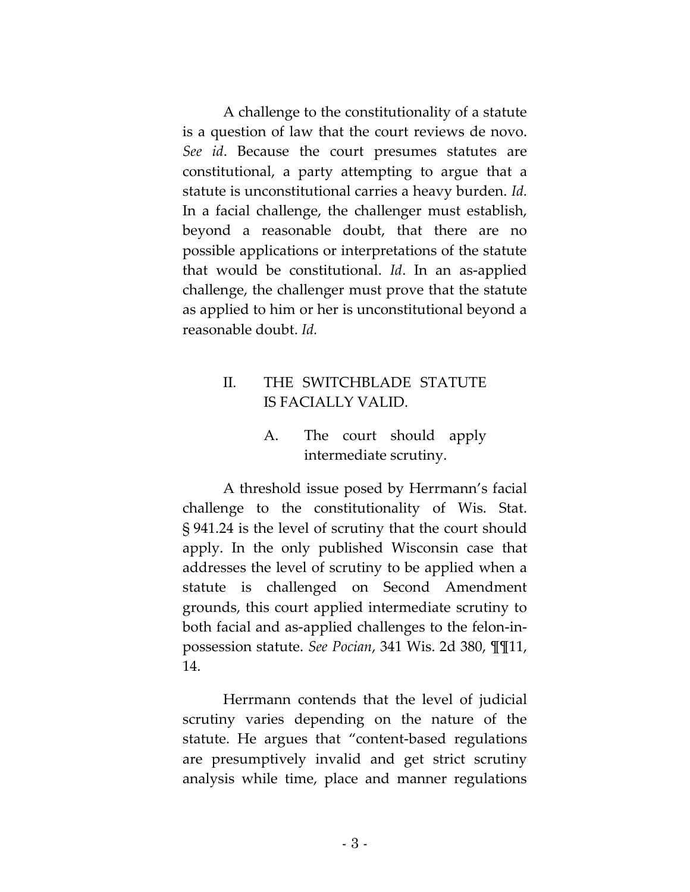A challenge to the constitutionality of a statute is a question of law that the court reviews de novo. *See id*. Because the court presumes statutes are constitutional, a party attempting to argue that a statute is unconstitutional carries a heavy burden. *Id.* In a facial challenge, the challenger must establish, beyond a reasonable doubt, that there are no possible applications or interpretations of the statute that would be constitutional. *Id*. In an as-applied challenge, the challenger must prove that the statute as applied to him or her is unconstitutional beyond a reasonable doubt. *Id.*

# II. THE SWITCHBLADE STATUTE IS FACIALLY VALID.

# A. The court should apply intermediate scrutiny.

A threshold issue posed by Herrmann's facial challenge to the constitutionality of Wis. Stat. § 941.24 is the level of scrutiny that the court should apply. In the only published Wisconsin case that addresses the level of scrutiny to be applied when a statute is challenged on Second Amendment grounds, this court applied intermediate scrutiny to both facial and as-applied challenges to the felon-inpossession statute. *See Pocian*, 341 Wis. 2d 380, ¶¶11, 14.

Herrmann contends that the level of judicial scrutiny varies depending on the nature of the statute. He argues that "content-based regulations are presumptively invalid and get strict scrutiny analysis while time, place and manner regulations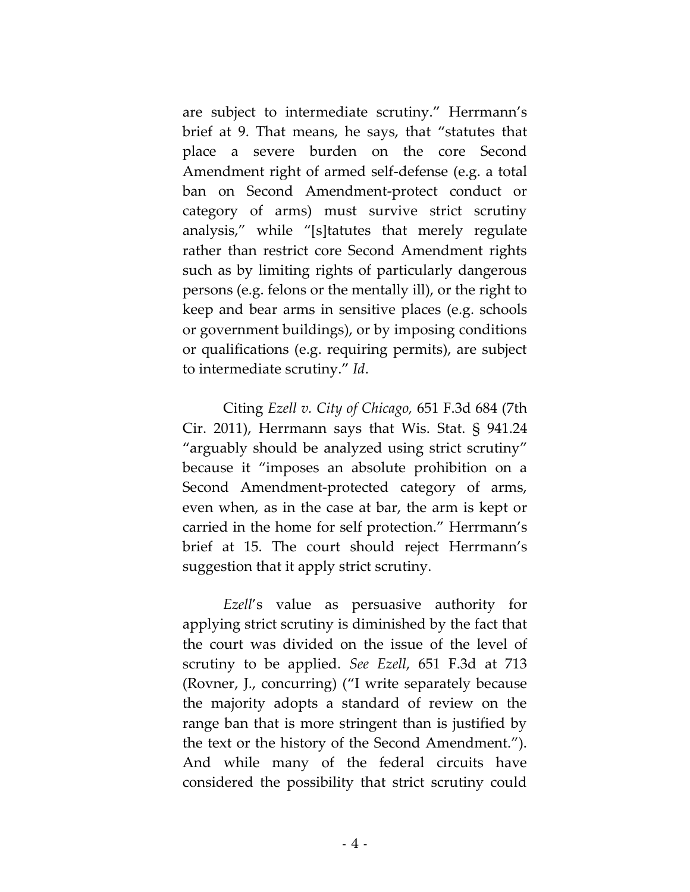are subject to intermediate scrutiny." Herrmann's brief at 9. That means, he says, that "statutes that place a severe burden on the core Second Amendment right of armed self-defense (e.g. a total ban on Second Amendment-protect conduct or category of arms) must survive strict scrutiny analysis," while "[s]tatutes that merely regulate rather than restrict core Second Amendment rights such as by limiting rights of particularly dangerous persons (e.g. felons or the mentally ill), or the right to keep and bear arms in sensitive places (e.g. schools or government buildings), or by imposing conditions or qualifications (e.g. requiring permits), are subject to intermediate scrutiny." *Id*.

Citing *Ezell v. City of Chicago,* 651 F.3d 684 (7th Cir. 2011), Herrmann says that Wis. Stat. § 941.24 "arguably should be analyzed using strict scrutiny" because it "imposes an absolute prohibition on a Second Amendment-protected category of arms, even when, as in the case at bar, the arm is kept or carried in the home for self protection." Herrmann's brief at 15. The court should reject Herrmann's suggestion that it apply strict scrutiny.

*Ezell*'s value as persuasive authority for applying strict scrutiny is diminished by the fact that the court was divided on the issue of the level of scrutiny to be applied. *See Ezell*, 651 F.3d at 713 (Rovner, J., concurring) ("I write separately because the majority adopts a standard of review on the range ban that is more stringent than is justified by the text or the history of the Second Amendment."). And while many of the federal circuits have considered the possibility that strict scrutiny could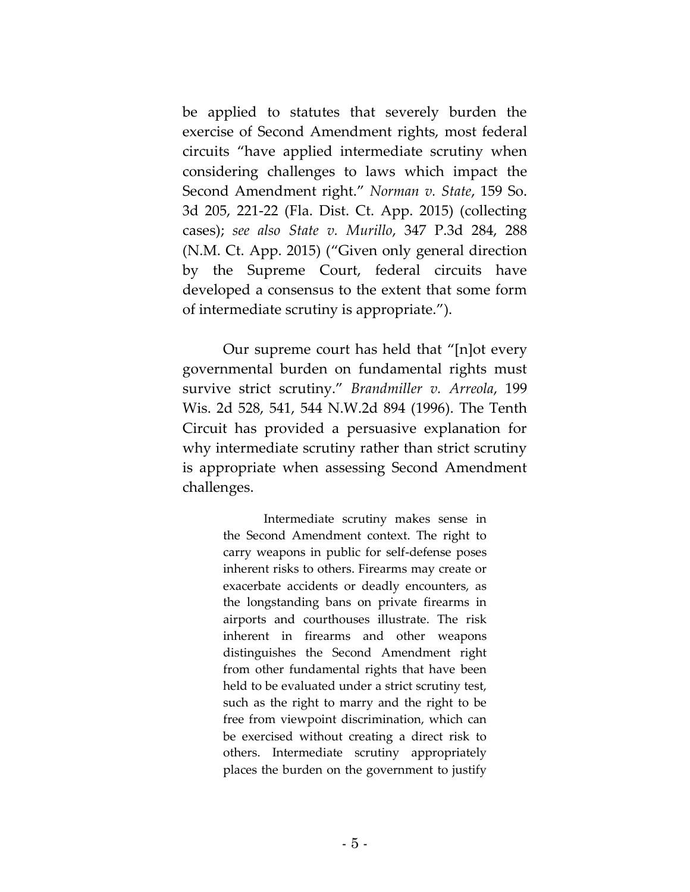be applied to statutes that severely burden the exercise of Second Amendment rights, most federal circuits "have applied intermediate scrutiny when considering challenges to laws which impact the Second Amendment right." *Norman v. State*, 159 So. 3d 205, 221-22 (Fla. Dist. Ct. App. 2015) (collecting cases); *see also State v. Murillo*, 347 P.3d 284, 288 (N.M. Ct. App. 2015) ("Given only general direction by the Supreme Court, federal circuits have developed a consensus to the extent that some form of intermediate scrutiny is appropriate.").

Our supreme court has held that "[n]ot every governmental burden on fundamental rights must survive strict scrutiny." *Brandmiller v. Arreola*, 199 Wis. 2d 528, 541, 544 N.W.2d 894 (1996). The Tenth Circuit has provided a persuasive explanation for why intermediate scrutiny rather than strict scrutiny is appropriate when assessing Second Amendment challenges.

> Intermediate scrutiny makes sense in the Second Amendment context. The right to carry weapons in public for self-defense poses inherent risks to others. Firearms may create or exacerbate accidents or deadly encounters, as the longstanding bans on private firearms in airports and courthouses illustrate. The risk inherent in firearms and other weapons distinguishes the Second Amendment right from other fundamental rights that have been held to be evaluated under a strict scrutiny test, such as the right to marry and the right to be free from viewpoint discrimination, which can be exercised without creating a direct risk to others. Intermediate scrutiny appropriately places the burden on the government to justify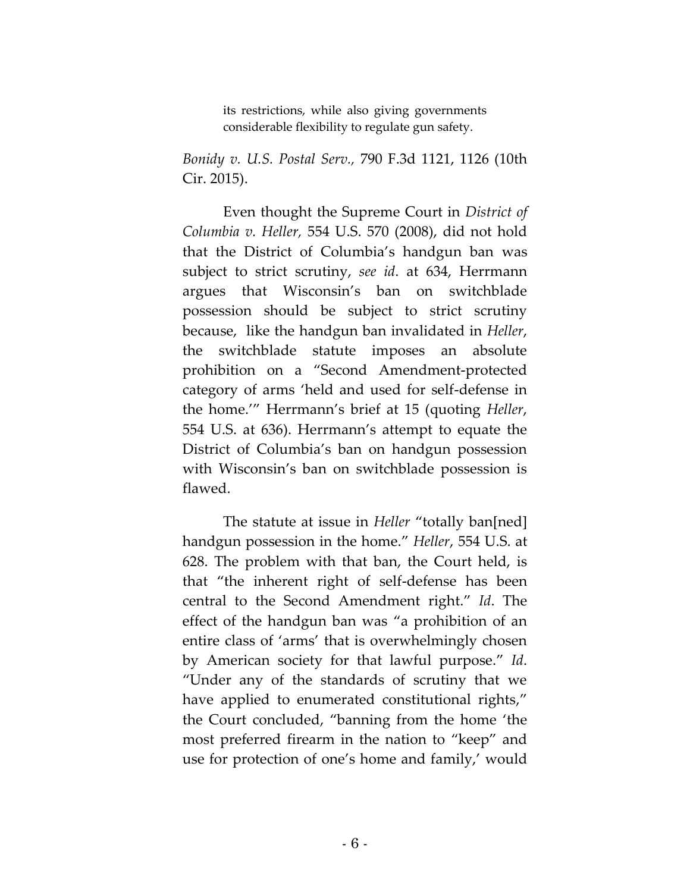its restrictions, while also giving governments considerable flexibility to regulate gun safety.

*Bonidy v. U.S. Postal Serv.,* 790 F.3d 1121, 1126 (10th Cir. 2015).

Even thought the Supreme Court in *District of Columbia v. Heller,* 554 U.S. 570 (2008), did not hold that the District of Columbia's handgun ban was subject to strict scrutiny, *see id*. at 634, Herrmann argues that Wisconsin's ban on switchblade possession should be subject to strict scrutiny because, like the handgun ban invalidated in *Heller*, the switchblade statute imposes an absolute prohibition on a "Second Amendment-protected category of arms 'held and used for self-defense in the home.'" Herrmann's brief at 15 (quoting *Heller*, 554 U.S. at 636). Herrmann's attempt to equate the District of Columbia's ban on handgun possession with Wisconsin's ban on switchblade possession is flawed.

The statute at issue in *Heller* "totally ban[ned] handgun possession in the home." *Heller*, 554 U.S. at 628. The problem with that ban, the Court held, is that "the inherent right of self-defense has been central to the Second Amendment right." *Id*. The effect of the handgun ban was "a prohibition of an entire class of 'arms' that is overwhelmingly chosen by American society for that lawful purpose." *Id*. "Under any of the standards of scrutiny that we have applied to enumerated constitutional rights," the Court concluded, "banning from the home 'the most preferred firearm in the nation to "keep" and use for protection of one's home and family,' would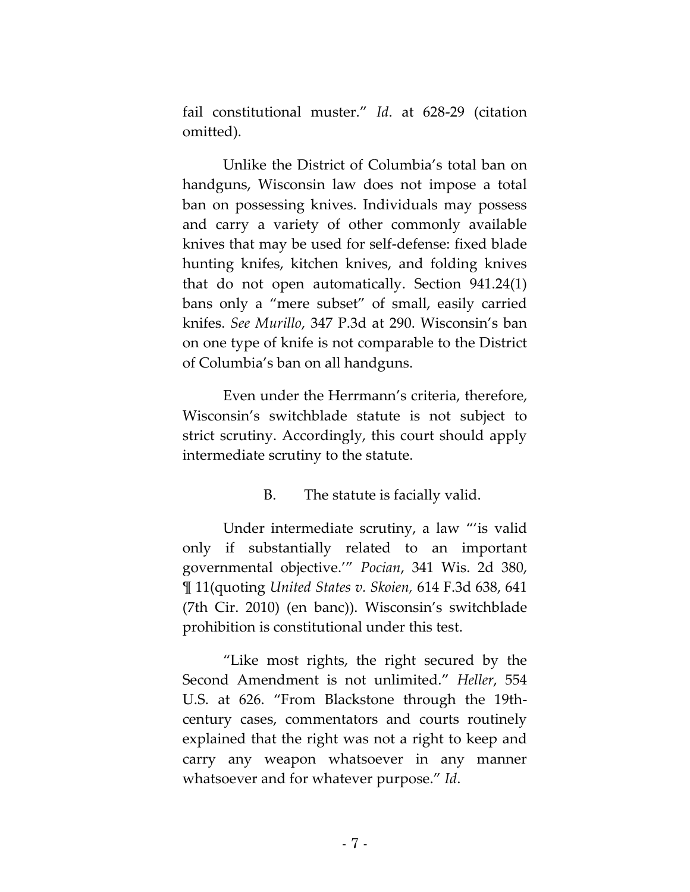fail constitutional muster." *Id*. at 628-29 (citation omitted).

Unlike the District of Columbia's total ban on handguns, Wisconsin law does not impose a total ban on possessing knives. Individuals may possess and carry a variety of other commonly available knives that may be used for self-defense: fixed blade hunting knifes, kitchen knives, and folding knives that do not open automatically. Section 941.24(1) bans only a "mere subset" of small, easily carried knifes. *See Murillo*, 347 P.3d at 290. Wisconsin's ban on one type of knife is not comparable to the District of Columbia's ban on all handguns.

Even under the Herrmann's criteria, therefore, Wisconsin's switchblade statute is not subject to strict scrutiny. Accordingly, this court should apply intermediate scrutiny to the statute.

### B. The statute is facially valid.

Under intermediate scrutiny, a law "'is valid only if substantially related to an important governmental objective.'" *Pocian*, 341 Wis. 2d 380, ¶ 11(quoting *United States v. Skoien,* 614 F.3d 638, 641 (7th Cir. 2010) (en banc)). Wisconsin's switchblade prohibition is constitutional under this test.

"Like most rights, the right secured by the Second Amendment is not unlimited." *Heller*, 554 U.S. at 626. "From Blackstone through the 19thcentury cases, commentators and courts routinely explained that the right was not a right to keep and carry any weapon whatsoever in any manner whatsoever and for whatever purpose." *Id*.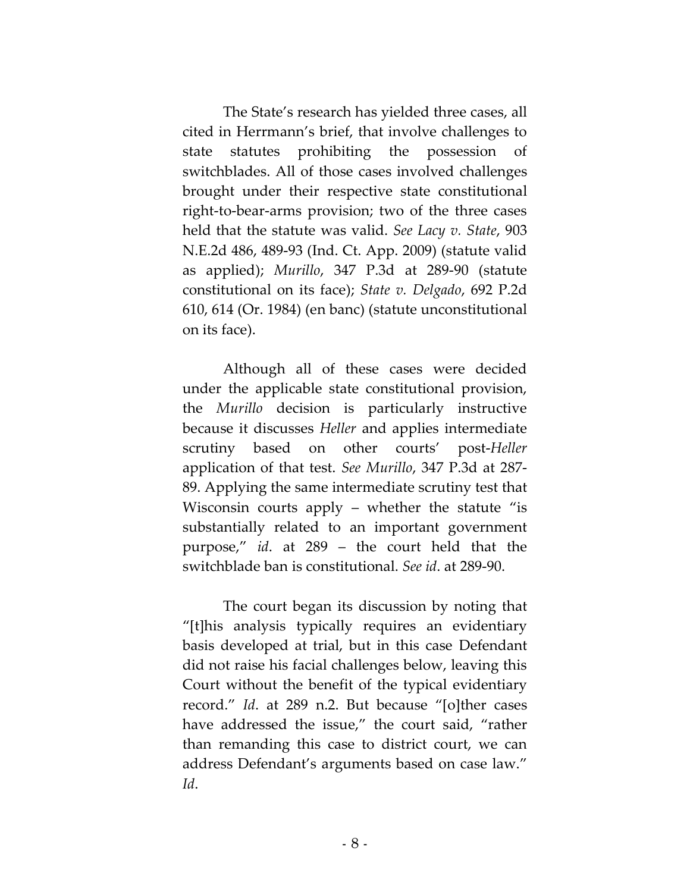The State's research has yielded three cases, all cited in Herrmann's brief, that involve challenges to state statutes prohibiting the possession of switchblades. All of those cases involved challenges brought under their respective state constitutional right-to-bear-arms provision; two of the three cases held that the statute was valid. *See Lacy v. State*, 903 N.E.2d 486, 489-93 (Ind. Ct. App. 2009) (statute valid as applied); *Murillo*, 347 P.3d at 289-90 (statute constitutional on its face); *State v. Delgado*, 692 P.2d 610, 614 (Or. 1984) (en banc) (statute unconstitutional on its face).

Although all of these cases were decided under the applicable state constitutional provision, the *Murillo* decision is particularly instructive because it discusses *Heller* and applies intermediate scrutiny based on other courts' post-*Heller* application of that test. *See Murillo*, 347 P.3d at 287- 89. Applying the same intermediate scrutiny test that Wisconsin courts apply – whether the statute "is substantially related to an important government purpose," *id*. at 289 – the court held that the switchblade ban is constitutional. *See id*. at 289-90.

The court began its discussion by noting that "[t]his analysis typically requires an evidentiary basis developed at trial, but in this case Defendant did not raise his facial challenges below, leaving this Court without the benefit of the typical evidentiary record." *Id*. at 289 n.2. But because "[o]ther cases have addressed the issue," the court said, "rather than remanding this case to district court, we can address Defendant's arguments based on case law." *Id*.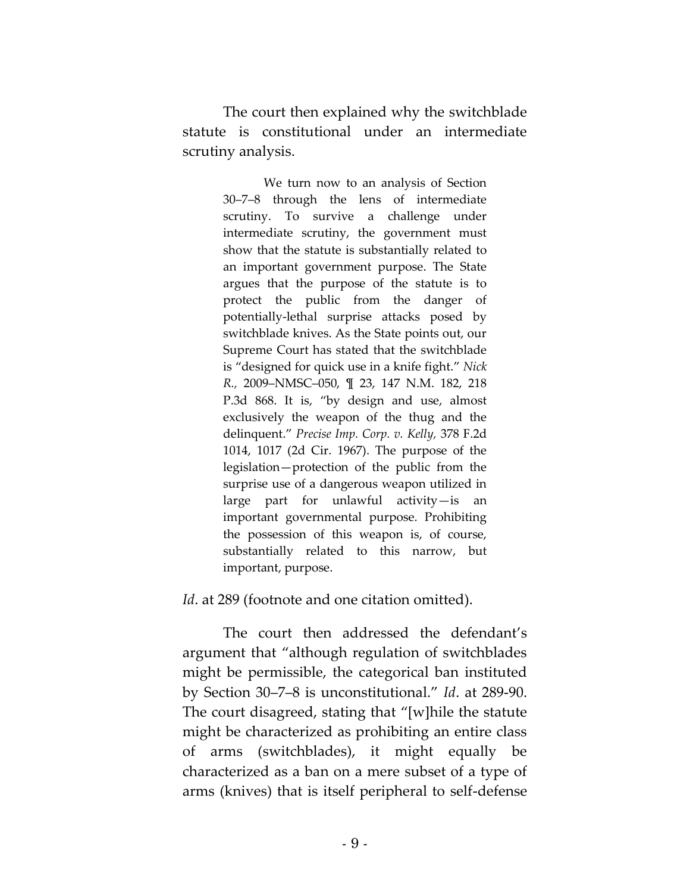The court then explained why the switchblade statute is constitutional under an intermediate scrutiny analysis.

> We turn now to an analysis of Section 30–7–8 through the lens of intermediate scrutiny. To survive a challenge under intermediate scrutiny, the government must show that the statute is substantially related to an important government purpose. The State argues that the purpose of the statute is to protect the public from the danger of potentially-lethal surprise attacks posed by switchblade knives. As the State points out, our Supreme Court has stated that the switchblade is "designed for quick use in a knife fight." *Nick R.,* 2009–NMSC–050, ¶ 23, 147 N.M. 182, 218 P.3d 868. It is, "by design and use, almost exclusively the weapon of the thug and the delinquent." *Precise Imp. Corp. v. Kelly,* 378 F.2d 1014, 1017 (2d Cir. 1967). The purpose of the legislation—protection of the public from the surprise use of a dangerous weapon utilized in large part for unlawful activity—is an important governmental purpose. Prohibiting the possession of this weapon is, of course, substantially related to this narrow, but important, purpose.

*Id.* at 289 (footnote and one citation omitted).

The court then addressed the defendant's argument that "although regulation of switchblades might be permissible, the categorical ban instituted by Section 30–7–8 is unconstitutional." *Id*. at 289-90. The court disagreed, stating that "[w]hile the statute might be characterized as prohibiting an entire class of arms (switchblades), it might equally be characterized as a ban on a mere subset of a type of arms (knives) that is itself peripheral to self-defense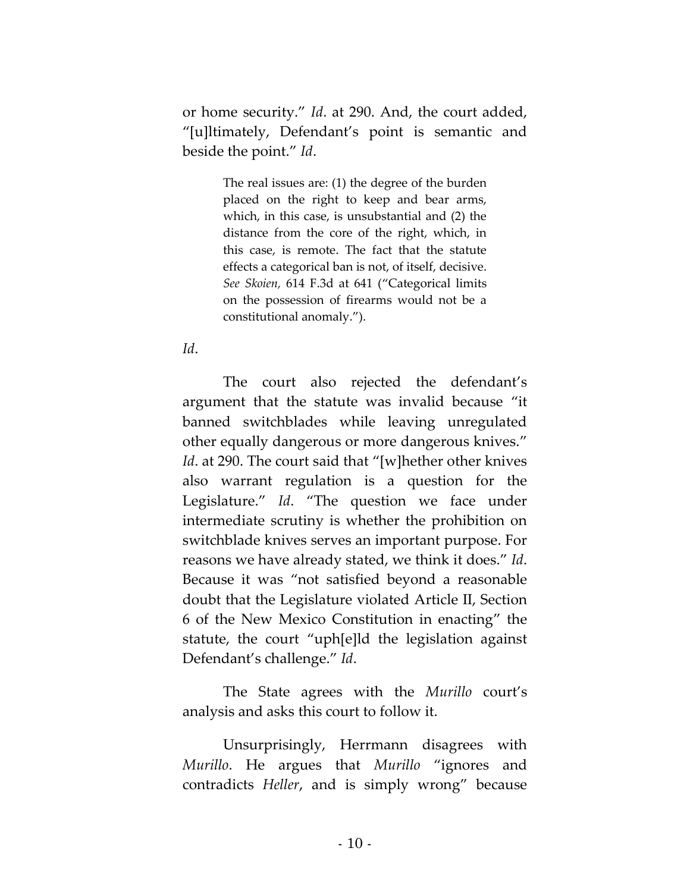or home security." *Id*. at 290. And, the court added, "[u]ltimately, Defendant's point is semantic and beside the point." *Id*.

> The real issues are: (1) the degree of the burden placed on the right to keep and bear arms, which, in this case, is unsubstantial and (2) the distance from the core of the right, which, in this case, is remote. The fact that the statute effects a categorical ban is not, of itself, decisive. *See Skoien,* 614 F.3d at 641 ("Categorical limits on the possession of firearms would not be a constitutional anomaly.").

### *Id*.

The court also rejected the defendant's argument that the statute was invalid because "it banned switchblades while leaving unregulated other equally dangerous or more dangerous knives." *Id*. at 290. The court said that "[w]hether other knives also warrant regulation is a question for the Legislature." *Id*. "The question we face under intermediate scrutiny is whether the prohibition on switchblade knives serves an important purpose. For reasons we have already stated, we think it does." *Id*. Because it was "not satisfied beyond a reasonable doubt that the Legislature violated Article II, Section 6 of the New Mexico Constitution in enacting" the statute, the court "uph[e]ld the legislation against Defendant's challenge." *Id*.

The State agrees with the *Murillo* court's analysis and asks this court to follow it.

Unsurprisingly, Herrmann disagrees with *Murillo*. He argues that *Murillo* "ignores and contradicts *Heller*, and is simply wrong" because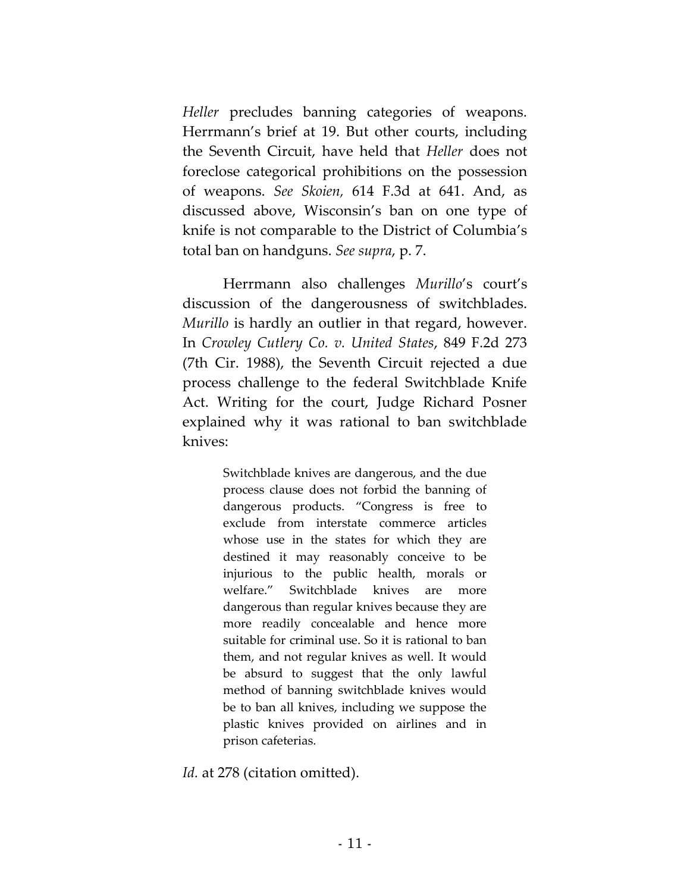*Heller* precludes banning categories of weapons. Herrmann's brief at 19. But other courts, including the Seventh Circuit, have held that *Heller* does not foreclose categorical prohibitions on the possession of weapons. *See Skoien,* 614 F.3d at 641. And, as discussed above, Wisconsin's ban on one type of knife is not comparable to the District of Columbia's total ban on handguns. *See supra*, p. 7.

Herrmann also challenges *Murillo*'s court's discussion of the dangerousness of switchblades. *Murillo* is hardly an outlier in that regard, however. In *Crowley Cutlery Co. v. United States*, 849 F.2d 273 (7th Cir. 1988), the Seventh Circuit rejected a due process challenge to the federal Switchblade Knife Act. Writing for the court, Judge Richard Posner explained why it was rational to ban switchblade knives:

> Switchblade knives are dangerous, and the due process clause does not forbid the banning of dangerous products. "Congress is free to exclude from interstate commerce articles whose use in the states for which they are destined it may reasonably conceive to be injurious to the public health, morals or welfare." Switchblade knives are more dangerous than regular knives because they are more readily concealable and hence more suitable for criminal use. So it is rational to ban them, and not regular knives as well. It would be absurd to suggest that the only lawful method of banning switchblade knives would be to ban all knives, including we suppose the plastic knives provided on airlines and in prison cafeterias.

Id. at 278 (citation omitted).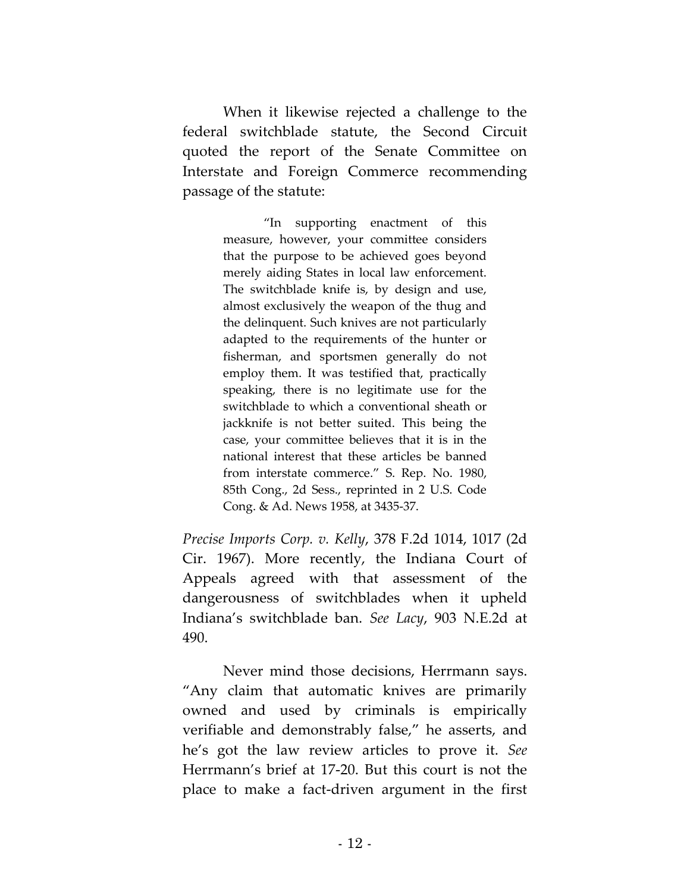When it likewise rejected a challenge to the federal switchblade statute, the Second Circuit quoted the report of the Senate Committee on Interstate and Foreign Commerce recommending passage of the statute:

> "In supporting enactment of this measure, however, your committee considers that the purpose to be achieved goes beyond merely aiding States in local law enforcement. The switchblade knife is, by design and use, almost exclusively the weapon of the thug and the delinquent. Such knives are not particularly adapted to the requirements of the hunter or fisherman, and sportsmen generally do not employ them. It was testified that, practically speaking, there is no legitimate use for the switchblade to which a conventional sheath or jackknife is not better suited. This being the case, your committee believes that it is in the national interest that these articles be banned from interstate commerce." S. Rep. No. 1980, 85th Cong., 2d Sess., reprinted in 2 U.S. Code Cong. & Ad. News 1958, at 3435-37.

*Precise Imports Corp. v. Kelly*, 378 F.2d 1014, 1017 (2d Cir. 1967). More recently, the Indiana Court of Appeals agreed with that assessment of the dangerousness of switchblades when it upheld Indiana's switchblade ban. *See Lacy*, 903 N.E.2d at 490.

Never mind those decisions, Herrmann says. "Any claim that automatic knives are primarily owned and used by criminals is empirically verifiable and demonstrably false," he asserts, and he's got the law review articles to prove it. *See*  Herrmann's brief at 17-20. But this court is not the place to make a fact-driven argument in the first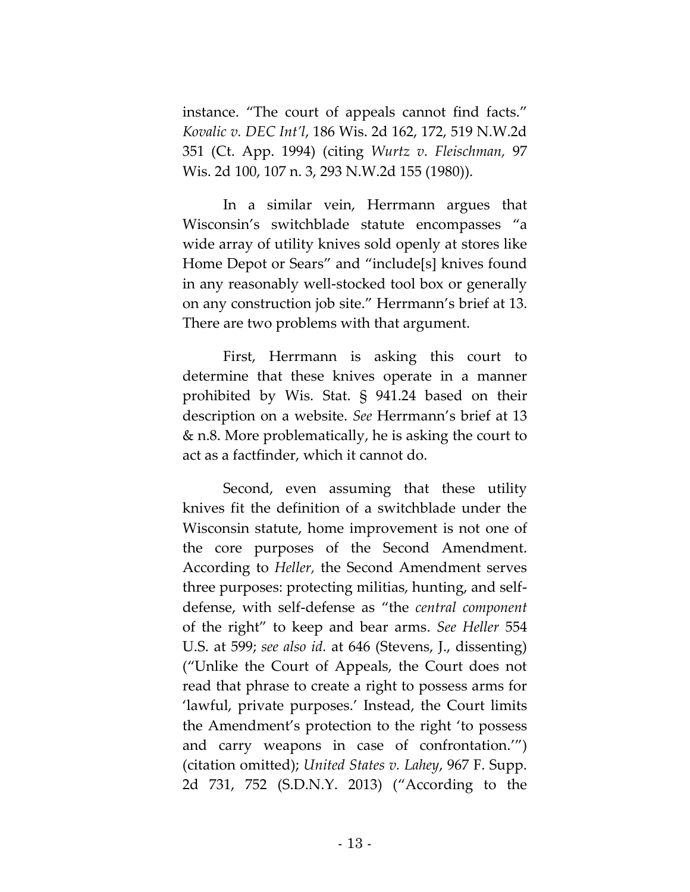instance. "The court of appeals cannot find facts." *Kovalic v. DEC Int'l*, 186 Wis. 2d 162, 172, 519 N.W.2d 351 (Ct. App. 1994) (citing *Wurtz v. Fleischman,* 97 Wis. 2d 100, 107 n. 3, 293 N.W.2d 155 (1980)).

In a similar vein, Herrmann argues that Wisconsin's switchblade statute encompasses "a wide array of utility knives sold openly at stores like Home Depot or Sears" and "include[s] knives found in any reasonably well-stocked tool box or generally on any construction job site." Herrmann's brief at 13. There are two problems with that argument.

First, Herrmann is asking this court to determine that these knives operate in a manner prohibited by Wis. Stat. § 941.24 based on their description on a website. *See* Herrmann's brief at 13 & n.8. More problematically, he is asking the court to act as a factfinder, which it cannot do.

Second, even assuming that these utility knives fit the definition of a switchblade under the Wisconsin statute, home improvement is not one of the core purposes of the Second Amendment. According to *Heller,* the Second Amendment serves three purposes: protecting militias, hunting, and selfdefense, with self-defense as "the *central component* of the right" to keep and bear arms. *See Heller* 554 U.S. at 599; *see also id.* at 646 (Stevens, J., dissenting) ("Unlike the Court of Appeals, the Court does not read that phrase to create a right to possess arms for 'lawful, private purposes.' Instead, the Court limits the Amendment's protection to the right 'to possess and carry weapons in case of confrontation.'") (citation omitted); *United States v. Lahey*, 967 F. Supp. 2d 731, 752 (S.D.N.Y. 2013) ("According to the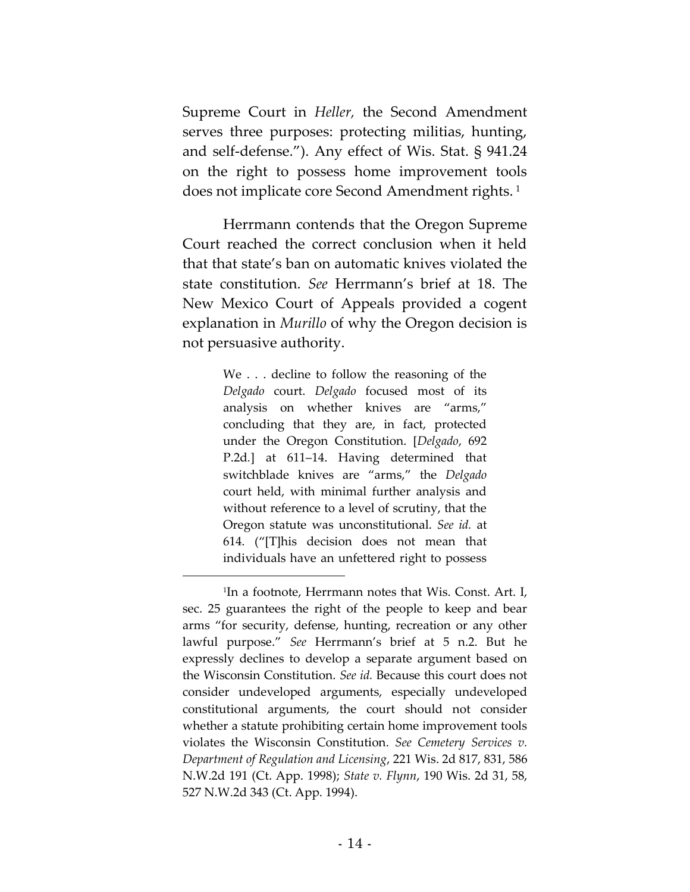Supreme Court in *Heller,* the Second Amendment serves three purposes: protecting militias, hunting, and self-defense."). Any effect of Wis. Stat. § 941.24 on the right to possess home improvement tools does not implicate core Second Amendment rights. <sup>1</sup>

Herrmann contends that the Oregon Supreme Court reached the correct conclusion when it held that that state's ban on automatic knives violated the state constitution. *See* Herrmann's brief at 18. The New Mexico Court of Appeals provided a cogent explanation in *Murillo* of why the Oregon decision is not persuasive authority.

> We . . . decline to follow the reasoning of the *Delgado* court. *Delgado* focused most of its analysis on whether knives are "arms," concluding that they are, in fact, protected under the Oregon Constitution. [*Delgado*, 692 P.2d*.*] at 611–14. Having determined that switchblade knives are "arms," the *Delgado* court held, with minimal further analysis and without reference to a level of scrutiny, that the Oregon statute was unconstitutional. *See id.* at 614. ("[T]his decision does not mean that individuals have an unfettered right to possess

 $\overline{a}$ 

<sup>1</sup> In a footnote, Herrmann notes that Wis. Const. Art. I, sec. 25 guarantees the right of the people to keep and bear arms "for security, defense, hunting, recreation or any other lawful purpose." *See* Herrmann's brief at 5 n.2. But he expressly declines to develop a separate argument based on the Wisconsin Constitution. *See id.* Because this court does not consider undeveloped arguments, especially undeveloped constitutional arguments, the court should not consider whether a statute prohibiting certain home improvement tools violates the Wisconsin Constitution. *See Cemetery Services v. Department of Regulation and Licensing*, 221 Wis. 2d 817, 831, 586 N.W.2d 191 (Ct. App. 1998); *State v. Flynn*, 190 Wis. 2d 31, 58, 527 N.W.2d 343 (Ct. App. 1994).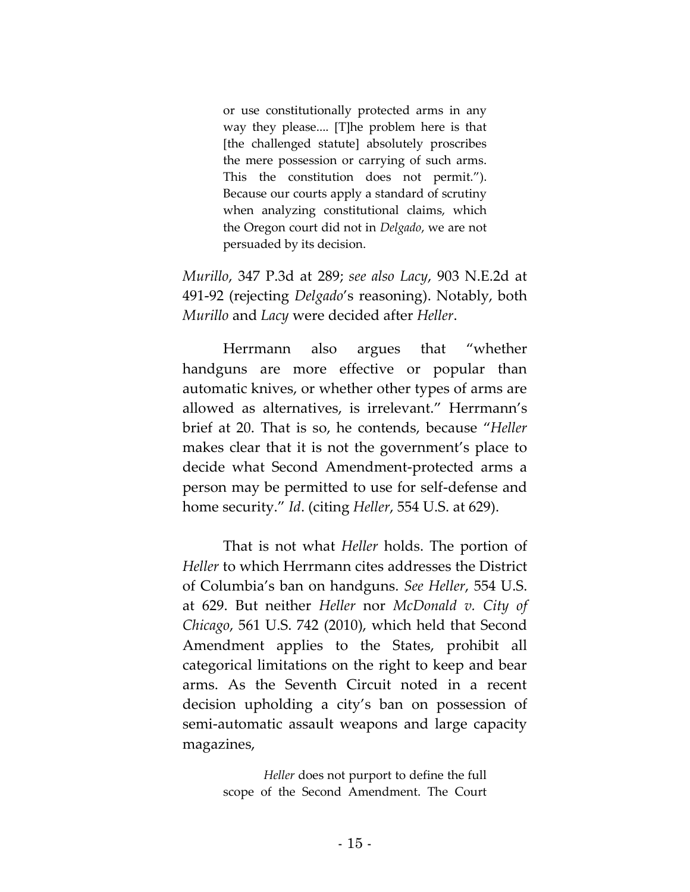or use constitutionally protected arms in any way they please.... [T]he problem here is that [the challenged statute] absolutely proscribes the mere possession or carrying of such arms. This the constitution does not permit."). Because our courts apply a standard of scrutiny when analyzing constitutional claims, which the Oregon court did not in *Delgado*, we are not persuaded by its decision.

*Murillo*, 347 P.3d at 289; *see also Lacy*, 903 N.E.2d at 491-92 (rejecting *Delgado*'s reasoning). Notably, both *Murillo* and *Lacy* were decided after *Heller*.

Herrmann also argues that "whether handguns are more effective or popular than automatic knives, or whether other types of arms are allowed as alternatives, is irrelevant." Herrmann's brief at 20. That is so, he contends, because "*Heller* makes clear that it is not the government's place to decide what Second Amendment-protected arms a person may be permitted to use for self-defense and home security." *Id*. (citing *Heller*, 554 U.S. at 629).

That is not what *Heller* holds. The portion of *Heller* to which Herrmann cites addresses the District of Columbia's ban on handguns. *See Heller*, 554 U.S. at 629. But neither *Heller* nor *McDonald v. City of Chicago*, 561 U.S. 742 (2010), which held that Second Amendment applies to the States, prohibit all categorical limitations on the right to keep and bear arms. As the Seventh Circuit noted in a recent decision upholding a city's ban on possession of semi-automatic assault weapons and large capacity magazines,

> *Heller* does not purport to define the full scope of the Second Amendment. The Court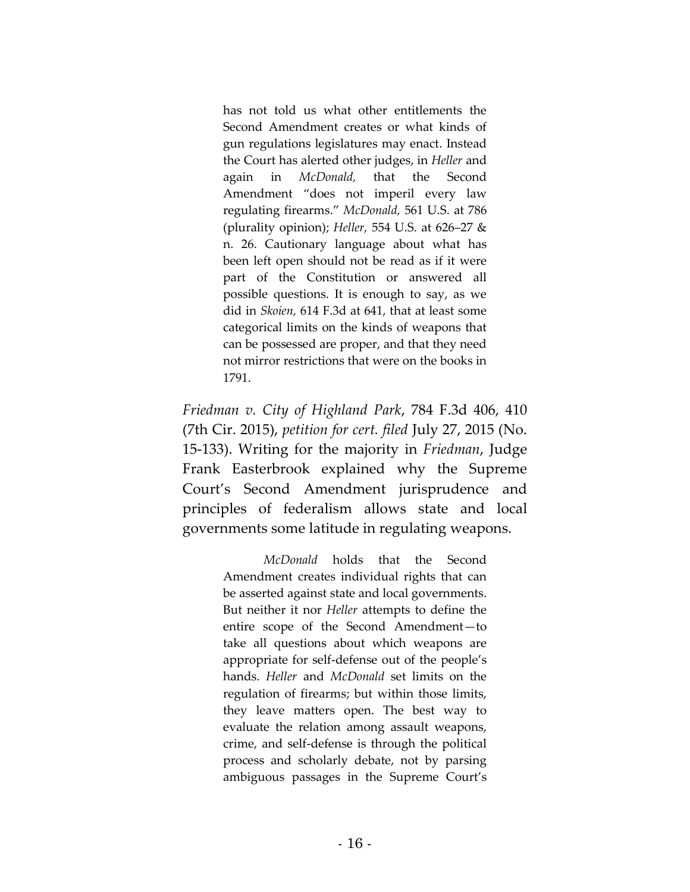has not told us what other entitlements the Second Amendment creates or what kinds of gun regulations legislatures may enact. Instead the Court has alerted other judges, in *Heller* and again in *McDonald,* that the Second Amendment "does not imperil every law regulating firearms." *McDonald,* 561 U.S. at 786 (plurality opinion); *Heller,* 554 U.S. at 626–27 & n. 26. Cautionary language about what has been left open should not be read as if it were part of the Constitution or answered all possible questions. It is enough to say, as we did in *Skoien,* 614 F.3d at 641, that at least some categorical limits on the kinds of weapons that can be possessed are proper, and that they need not mirror restrictions that were on the books in 1791.

*Friedman v. City of Highland Park*, 784 F.3d 406, 410 (7th Cir. 2015), *petition for cert. filed* July 27, 2015 (No. 15-133). Writing for the majority in *Friedman*, Judge Frank Easterbrook explained why the Supreme Court's Second Amendment jurisprudence and principles of federalism allows state and local governments some latitude in regulating weapons.

> *McDonald* holds that the Second Amendment creates individual rights that can be asserted against state and local governments. But neither it nor *Heller* attempts to define the entire scope of the Second Amendment—to take all questions about which weapons are appropriate for self-defense out of the people's hands. *Heller* and *McDonald* set limits on the regulation of firearms; but within those limits, they leave matters open. The best way to evaluate the relation among assault weapons, crime, and self-defense is through the political process and scholarly debate, not by parsing ambiguous passages in the Supreme Court's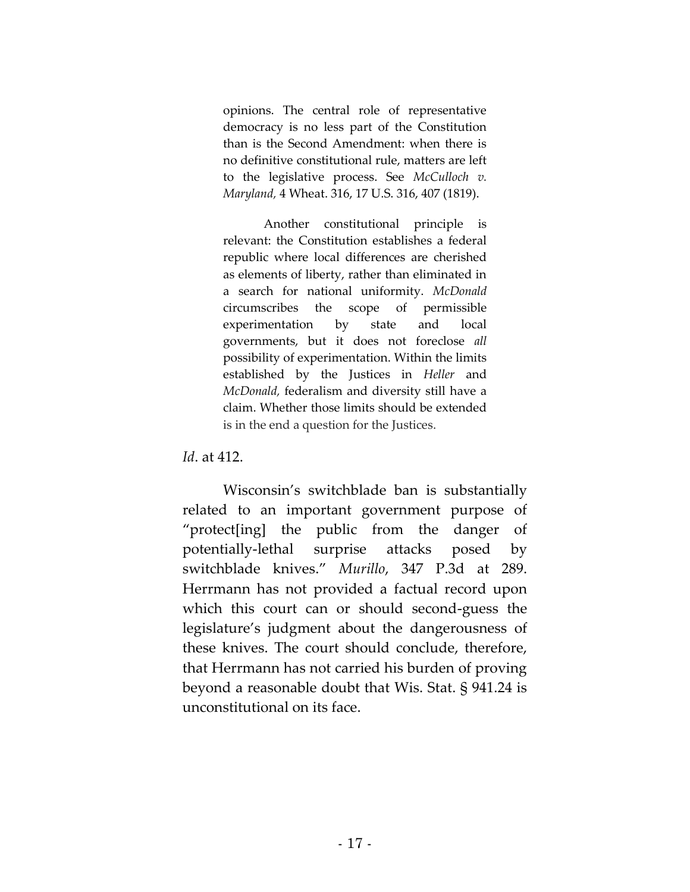opinions. The central role of representative democracy is no less part of the Constitution than is the Second Amendment: when there is no definitive constitutional rule, matters are left to the legislative process. See *McCulloch v. Maryland,* 4 Wheat. 316, 17 U.S. 316, 407 (1819).

Another constitutional principle is relevant: the Constitution establishes a federal republic where local differences are cherished as elements of liberty, rather than eliminated in a search for national uniformity. *McDonald* circumscribes the scope of permissible experimentation by state and local governments, but it does not foreclose *all* possibility of experimentation. Within the limits established by the Justices in *Heller* and *McDonald,* federalism and diversity still have a claim. Whether those limits should be extended is in the end a question for the Justices.

*Id*. at 412.

Wisconsin's switchblade ban is substantially related to an important government purpose of "protect[ing] the public from the danger of potentially-lethal surprise attacks posed by switchblade knives." *Murillo*, 347 P.3d at 289. Herrmann has not provided a factual record upon which this court can or should second-guess the legislature's judgment about the dangerousness of these knives. The court should conclude, therefore, that Herrmann has not carried his burden of proving beyond a reasonable doubt that Wis. Stat. § 941.24 is unconstitutional on its face.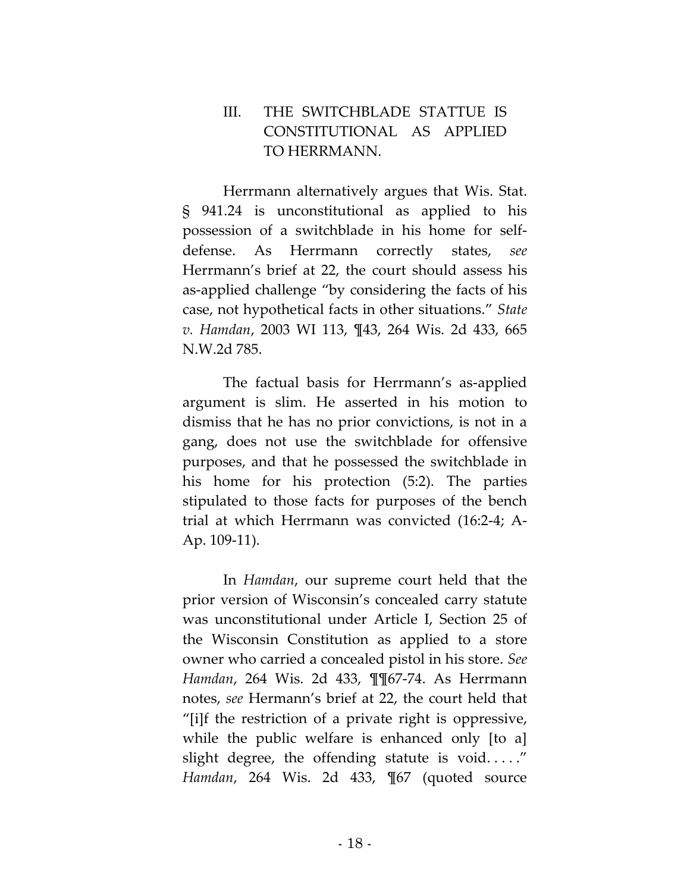# III. THE SWITCHBLADE STATTUE IS CONSTITUTIONAL AS APPLIED TO HERRMANN.

Herrmann alternatively argues that Wis. Stat. § 941.24 is unconstitutional as applied to his possession of a switchblade in his home for selfdefense. As Herrmann correctly states, *see*  Herrmann's brief at 22, the court should assess his as-applied challenge "by considering the facts of his case, not hypothetical facts in other situations." *State v. Hamdan*, 2003 WI 113, ¶43, 264 Wis. 2d 433, 665 N.W.2d 785.

The factual basis for Herrmann's as-applied argument is slim. He asserted in his motion to dismiss that he has no prior convictions, is not in a gang, does not use the switchblade for offensive purposes, and that he possessed the switchblade in his home for his protection (5:2). The parties stipulated to those facts for purposes of the bench trial at which Herrmann was convicted (16:2-4; A-Ap. 109-11).

In *Hamdan*, our supreme court held that the prior version of Wisconsin's concealed carry statute was unconstitutional under Article I, Section 25 of the Wisconsin Constitution as applied to a store owner who carried a concealed pistol in his store. *See Hamdan*, 264 Wis. 2d 433, ¶¶67-74. As Herrmann notes, *see* Hermann's brief at 22, the court held that "[i]f the restriction of a private right is oppressive, while the public welfare is enhanced only [to a] slight degree, the offending statute is void....." *Hamdan*, 264 Wis. 2d 433, ¶67 (quoted source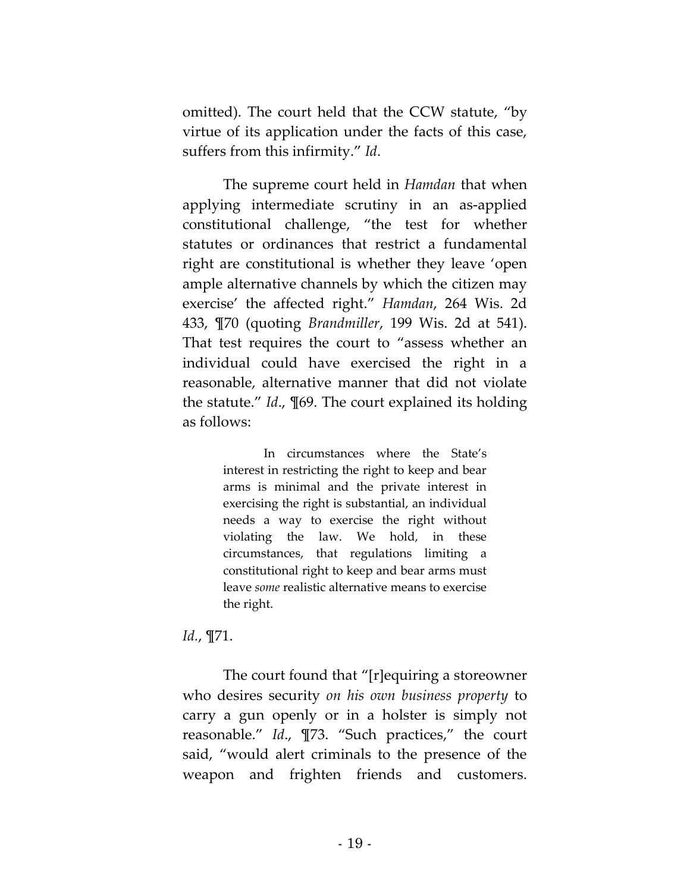omitted). The court held that the CCW statute, "by virtue of its application under the facts of this case, suffers from this infirmity." *Id*.

The supreme court held in *Hamdan* that when applying intermediate scrutiny in an as-applied constitutional challenge, "the test for whether statutes or ordinances that restrict a fundamental right are constitutional is whether they leave 'open ample alternative channels by which the citizen may exercise' the affected right." *Hamdan*, 264 Wis. 2d 433, ¶70 (quoting *Brandmiller*, 199 Wis. 2d at 541). That test requires the court to "assess whether an individual could have exercised the right in a reasonable, alternative manner that did not violate the statute." *Id*., ¶69. The court explained its holding as follows:

> In circumstances where the State's interest in restricting the right to keep and bear arms is minimal and the private interest in exercising the right is substantial, an individual needs a way to exercise the right without violating the law. We hold, in these circumstances, that regulations limiting a constitutional right to keep and bear arms must leave *some* realistic alternative means to exercise the right.

### *Id.*, ¶71.

The court found that "[r]equiring a storeowner who desires security *on his own business property* to carry a gun openly or in a holster is simply not reasonable." *Id*., ¶73. "Such practices," the court said, "would alert criminals to the presence of the weapon and frighten friends and customers.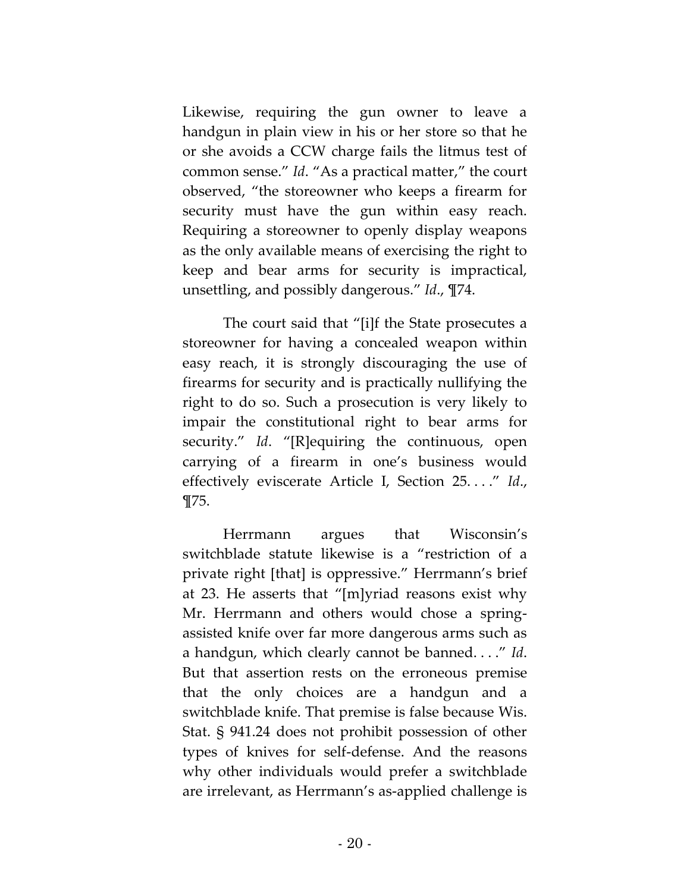Likewise, requiring the gun owner to leave a handgun in plain view in his or her store so that he or she avoids a CCW charge fails the litmus test of common sense." *Id*. "As a practical matter," the court observed, "the storeowner who keeps a firearm for security must have the gun within easy reach. Requiring a storeowner to openly display weapons as the only available means of exercising the right to keep and bear arms for security is impractical, unsettling, and possibly dangerous." *Id*., ¶74.

The court said that "[i]f the State prosecutes a storeowner for having a concealed weapon within easy reach, it is strongly discouraging the use of firearms for security and is practically nullifying the right to do so. Such a prosecution is very likely to impair the constitutional right to bear arms for security." *Id*. "[R]equiring the continuous, open carrying of a firearm in one's business would effectively eviscerate Article I, Section 25. . . ." *Id*., ¶75.

Herrmann argues that Wisconsin's switchblade statute likewise is a "restriction of a private right [that] is oppressive." Herrmann's brief at 23. He asserts that "[m]yriad reasons exist why Mr. Herrmann and others would chose a springassisted knife over far more dangerous arms such as a handgun, which clearly cannot be banned. . . ." *Id*. But that assertion rests on the erroneous premise that the only choices are a handgun and a switchblade knife. That premise is false because Wis. Stat. § 941.24 does not prohibit possession of other types of knives for self-defense. And the reasons why other individuals would prefer a switchblade are irrelevant, as Herrmann's as-applied challenge is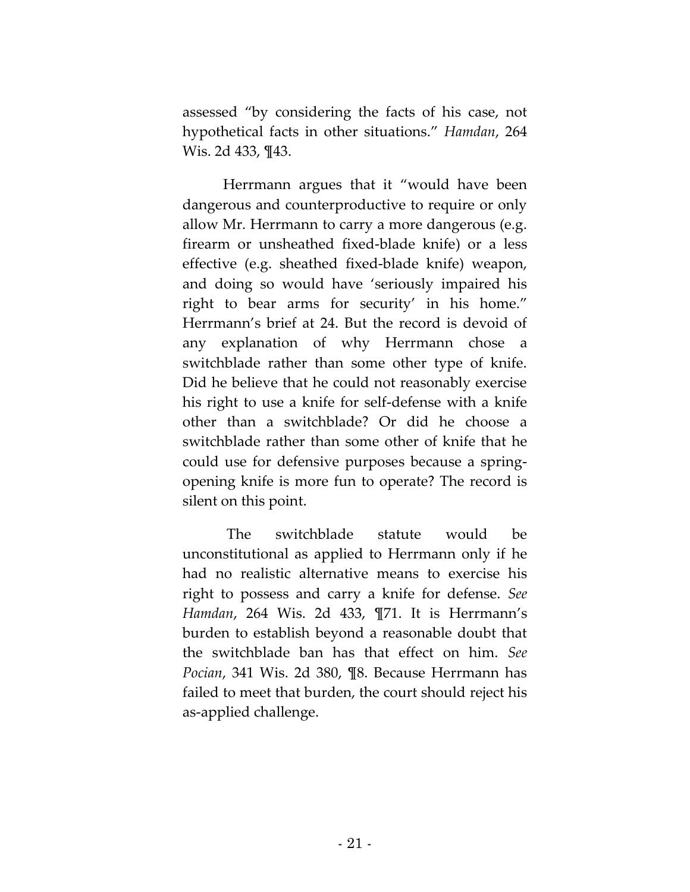assessed "by considering the facts of his case, not hypothetical facts in other situations." *Hamdan*, 264 Wis. 2d 433, ¶43.

Herrmann argues that it "would have been dangerous and counterproductive to require or only allow Mr. Herrmann to carry a more dangerous (e.g. firearm or unsheathed fixed-blade knife) or a less effective (e.g. sheathed fixed-blade knife) weapon, and doing so would have 'seriously impaired his right to bear arms for security' in his home." Herrmann's brief at 24. But the record is devoid of any explanation of why Herrmann chose a switchblade rather than some other type of knife. Did he believe that he could not reasonably exercise his right to use a knife for self-defense with a knife other than a switchblade? Or did he choose a switchblade rather than some other of knife that he could use for defensive purposes because a springopening knife is more fun to operate? The record is silent on this point.

The switchblade statute would be unconstitutional as applied to Herrmann only if he had no realistic alternative means to exercise his right to possess and carry a knife for defense. *See Hamdan*, 264 Wis. 2d 433, ¶71. It is Herrmann's burden to establish beyond a reasonable doubt that the switchblade ban has that effect on him. *See Pocian*, 341 Wis. 2d 380, ¶8. Because Herrmann has failed to meet that burden, the court should reject his as-applied challenge.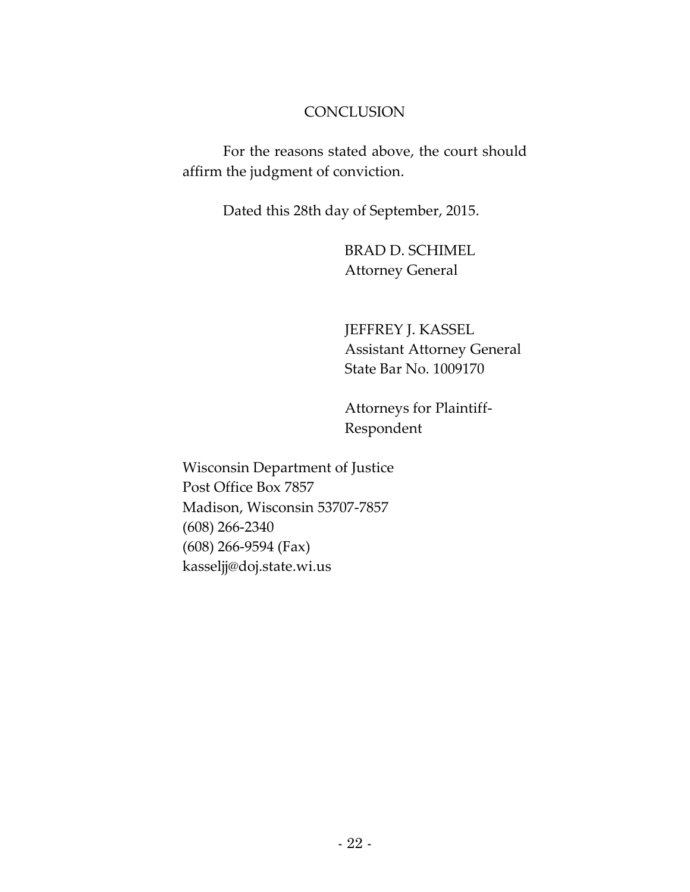### **CONCLUSION**

For the reasons stated above, the court should affirm the judgment of conviction.

Dated this 28th day of September, 2015.

BRAD D. SCHIMEL Attorney General

JEFFREY J. KASSEL Assistant Attorney General State Bar No. 1009170

Attorneys for Plaintiff-Respondent

Wisconsin Department of Justice Post Office Box 7857 Madison, Wisconsin 53707-7857 (608) 266-2340 (608) 266-9594 (Fax) kasseljj@doj.state.wi.us